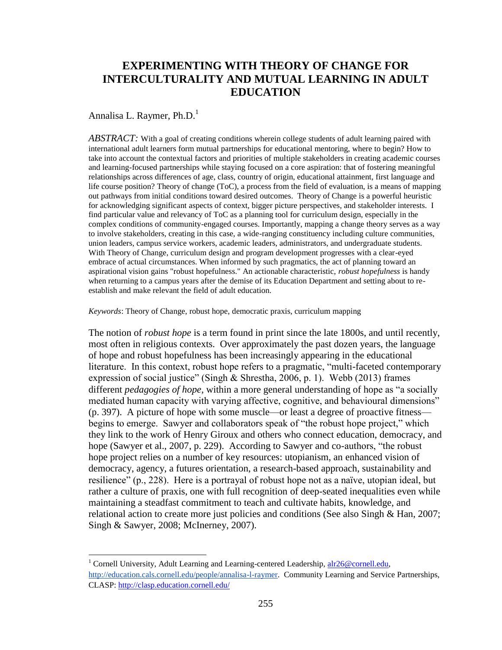# **EXPERIMENTING WITH THEORY OF CHANGE FOR INTERCULTURALITY AND MUTUAL LEARNING IN ADULT EDUCATION**

## Annalisa L. Raymer, Ph.D.<sup>1</sup>

l

*ABSTRACT:* With a goal of creating conditions wherein college students of adult learning paired with international adult learners form mutual partnerships for educational mentoring, where to begin? How to take into account the contextual factors and priorities of multiple stakeholders in creating academic courses and learning-focused partnerships while staying focused on a core aspiration: that of fostering meaningful relationships across differences of age, class, country of origin, educational attainment, first language and life course position? Theory of change (ToC), a process from the field of evaluation, is a means of mapping out pathways from initial conditions toward desired outcomes. Theory of Change is a powerful heuristic for acknowledging significant aspects of context, bigger picture perspectives, and stakeholder interests. I find particular value and relevancy of ToC as a planning tool for curriculum design, especially in the complex conditions of community-engaged courses. Importantly, mapping a change theory serves as a way to involve stakeholders, creating in this case, a wide-ranging constituency including culture communities, union leaders, campus service workers, academic leaders, administrators, and undergraduate students. With Theory of Change, curriculum design and program development progresses with a clear-eyed embrace of actual circumstances. When informed by such pragmatics, the act of planning toward an aspirational vision gains "robust hopefulness." An actionable characteristic, *robust hopefulness* is handy when returning to a campus years after the demise of its Education Department and setting about to reestablish and make relevant the field of adult education.

*Keywords*: Theory of Change, robust hope, democratic praxis, curriculum mapping

The notion of *robust hope* is a term found in print since the late 1800s, and until recently, most often in religious contexts. Over approximately the past dozen years, the language of hope and robust hopefulness has been increasingly appearing in the educational literature. In this context, robust hope refers to a pragmatic, "multi-faceted contemporary expression of social justice" (Singh & Shrestha, 2006, p. 1). Webb (2013) frames different *pedagogies of hope*, within a more general understanding of hope as "a socially mediated human capacity with varying affective, cognitive, and behavioural dimensions" (p. 397). A picture of hope with some muscle—or least a degree of proactive fitness begins to emerge. Sawyer and collaborators speak of "the robust hope project," which they link to the work of Henry Giroux and others who connect education, democracy, and hope (Sawyer et al., 2007, p. 229). According to Sawyer and co-authors, "the robust hope project relies on a number of key resources: utopianism, an enhanced vision of democracy, agency, a futures orientation, a research-based approach, sustainability and resilience" (p., 228). Here is a portrayal of robust hope not as a naïve, utopian ideal, but rather a culture of praxis, one with full recognition of deep-seated inequalities even while maintaining a steadfast commitment to teach and cultivate habits, knowledge, and relational action to create more just policies and conditions (See also Singh & Han, 2007; Singh & Sawyer, 2008; McInerney, 2007).

<sup>&</sup>lt;sup>1</sup> Cornell University, Adult Learning and Learning-centered Leadership[, alr26@cornell.edu,](mailto:alr26@cornell.edu) [http://education.cals.cornell.edu/people/annalisa-l-raymer.](http://education.cals.cornell.edu/people/annalisa-l-raymer) Community Learning and Service Partnerships, CLASP:<http://clasp.education.cornell.edu/>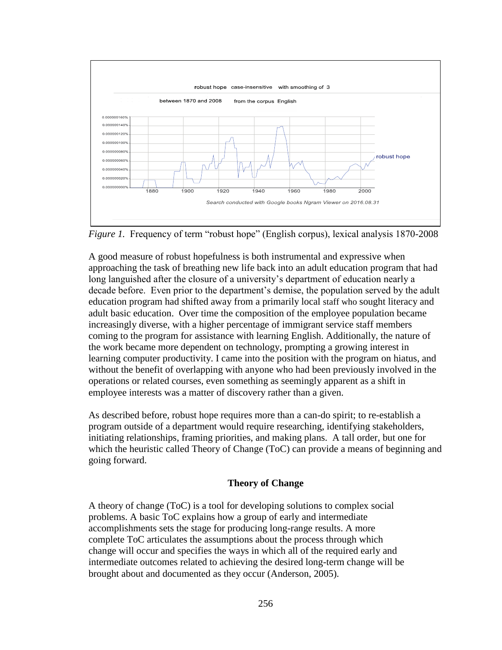

*Figure 1.* Frequency of term "robust hope" (English corpus), lexical analysis 1870-2008

A good measure of robust hopefulness is both instrumental and expressive when approaching the task of breathing new life back into an adult education program that had long languished after the closure of a university's department of education nearly a decade before. Even prior to the department's demise, the population served by the adult education program had shifted away from a primarily local staff who sought literacy and adult basic education. Over time the composition of the employee population became increasingly diverse, with a higher percentage of immigrant service staff members coming to the program for assistance with learning English. Additionally, the nature of the work became more dependent on technology, prompting a growing interest in learning computer productivity. I came into the position with the program on hiatus, and without the benefit of overlapping with anyone who had been previously involved in the operations or related courses, even something as seemingly apparent as a shift in employee interests was a matter of discovery rather than a given.

As described before, robust hope requires more than a can-do spirit; to re-establish a program outside of a department would require researching, identifying stakeholders, initiating relationships, framing priorities, and making plans. A tall order, but one for which the heuristic called Theory of Change (ToC) can provide a means of beginning and going forward.

## **Theory of Change**

A theory of change (ToC) is a tool for developing solutions to complex social problems. A basic ToC explains how a group of early and intermediate accomplishments sets the stage for producing long-range results. A more complete ToC articulates the assumptions about the process through which change will occur and specifies the ways in which all of the required early and intermediate outcomes related to achieving the desired long-term change will be brought about and documented as they occur (Anderson, 2005).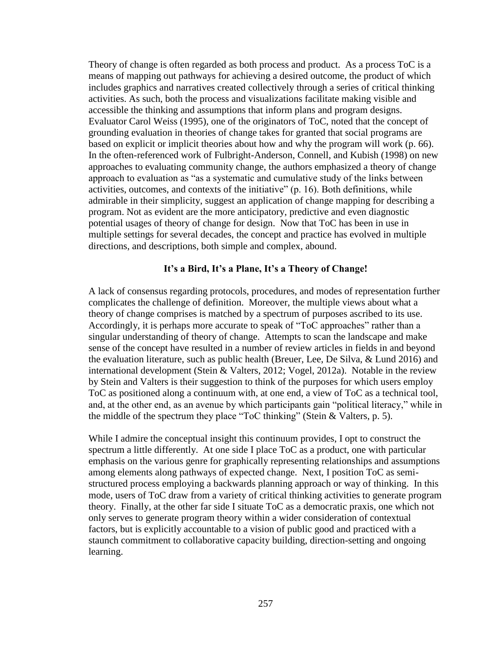Theory of change is often regarded as both process and product. As a process ToC is a means of mapping out pathways for achieving a desired outcome, the product of which includes graphics and narratives created collectively through a series of critical thinking activities. As such, both the process and visualizations facilitate making visible and accessible the thinking and assumptions that inform plans and program designs. Evaluator Carol Weiss (1995), one of the originators of ToC, noted that the concept of grounding evaluation in theories of change takes for granted that social programs are based on explicit or implicit theories about how and why the program will work (p. 66). In the often-referenced work of Fulbright-Anderson, Connell, and Kubish (1998) on new approaches to evaluating community change, the authors emphasized a theory of change approach to evaluation as "as a systematic and cumulative study of the links between activities, outcomes, and contexts of the initiative" (p. 16). Both definitions, while admirable in their simplicity, suggest an application of change mapping for describing a program. Not as evident are the more anticipatory, predictive and even diagnostic potential usages of theory of change for design. Now that ToC has been in use in multiple settings for several decades, the concept and practice has evolved in multiple directions, and descriptions, both simple and complex, abound.

## **It's a Bird, It's a Plane, It's a Theory of Change!**

A lack of consensus regarding protocols, procedures, and modes of representation further complicates the challenge of definition. Moreover, the multiple views about what a theory of change comprises is matched by a spectrum of purposes ascribed to its use. Accordingly, it is perhaps more accurate to speak of "ToC approaches" rather than a singular understanding of theory of change. Attempts to scan the landscape and make sense of the concept have resulted in a number of review articles in fields in and beyond the evaluation literature, such as public health (Breuer, Lee, De Silva, & Lund 2016) and international development (Stein & Valters, 2012; Vogel, 2012a). Notable in the review by Stein and Valters is their suggestion to think of the purposes for which users employ ToC as positioned along a continuum with, at one end, a view of ToC as a technical tool, and, at the other end, as an avenue by which participants gain "political literacy," while in the middle of the spectrum they place "ToC thinking" (Stein & Valters, p. 5).

While I admire the conceptual insight this continuum provides, I opt to construct the spectrum a little differently. At one side I place ToC as a product, one with particular emphasis on the various genre for graphically representing relationships and assumptions among elements along pathways of expected change. Next, I position ToC as semistructured process employing a backwards planning approach or way of thinking. In this mode, users of ToC draw from a variety of critical thinking activities to generate program theory. Finally, at the other far side I situate ToC as a democratic praxis, one which not only serves to generate program theory within a wider consideration of contextual factors, but is explicitly accountable to a vision of public good and practiced with a staunch commitment to collaborative capacity building, direction-setting and ongoing learning.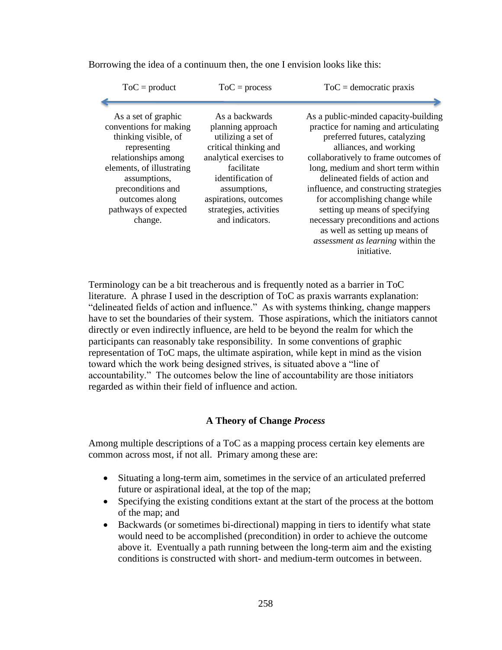| $ToC = product$                                                                                                                                                                                                                     | $ToC = process$                                                                                                                                                                                                                        | $ToC =$ democratic praxis                                                                                                                                                                                                                                                                                                                                                                                                                                                                           |
|-------------------------------------------------------------------------------------------------------------------------------------------------------------------------------------------------------------------------------------|----------------------------------------------------------------------------------------------------------------------------------------------------------------------------------------------------------------------------------------|-----------------------------------------------------------------------------------------------------------------------------------------------------------------------------------------------------------------------------------------------------------------------------------------------------------------------------------------------------------------------------------------------------------------------------------------------------------------------------------------------------|
| As a set of graphic<br>conventions for making<br>thinking visible, of<br>representing<br>relationships among<br>elements, of illustrating<br>assumptions,<br>preconditions and<br>outcomes along<br>pathways of expected<br>change. | As a backwards<br>planning approach<br>utilizing a set of<br>critical thinking and<br>analytical exercises to<br>facilitate<br>identification of<br>assumptions,<br>aspirations, outcomes<br>strategies, activities<br>and indicators. | As a public-minded capacity-building<br>practice for naming and articulating<br>preferred futures, catalyzing<br>alliances, and working<br>collaboratively to frame outcomes of<br>long, medium and short term within<br>delineated fields of action and<br>influence, and constructing strategies<br>for accomplishing change while<br>setting up means of specifying<br>necessary preconditions and actions<br>as well as setting up means of<br>assessment as learning within the<br>initiative. |

Borrowing the idea of a continuum then, the one I envision looks like this:

Terminology can be a bit treacherous and is frequently noted as a barrier in ToC literature. A phrase I used in the description of ToC as praxis warrants explanation: "delineated fields of action and influence." As with systems thinking, change mappers have to set the boundaries of their system. Those aspirations, which the initiators cannot directly or even indirectly influence, are held to be beyond the realm for which the participants can reasonably take responsibility. In some conventions of graphic representation of ToC maps, the ultimate aspiration, while kept in mind as the vision toward which the work being designed strives, is situated above a "line of accountability." The outcomes below the line of accountability are those initiators regarded as within their field of influence and action.

#### **A Theory of Change** *Process*

Among multiple descriptions of a ToC as a mapping process certain key elements are common across most, if not all. Primary among these are:

- Situating a long-term aim, sometimes in the service of an articulated preferred future or aspirational ideal, at the top of the map;
- Specifying the existing conditions extant at the start of the process at the bottom of the map; and
- Backwards (or sometimes bi-directional) mapping in tiers to identify what state would need to be accomplished (precondition) in order to achieve the outcome above it. Eventually a path running between the long-term aim and the existing conditions is constructed with short- and medium-term outcomes in between.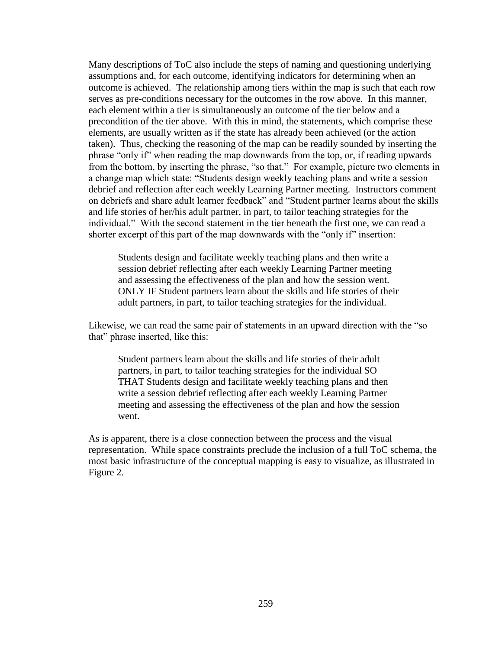Many descriptions of ToC also include the steps of naming and questioning underlying assumptions and, for each outcome, identifying indicators for determining when an outcome is achieved. The relationship among tiers within the map is such that each row serves as pre-conditions necessary for the outcomes in the row above. In this manner, each element within a tier is simultaneously an outcome of the tier below and a precondition of the tier above. With this in mind, the statements, which comprise these elements, are usually written as if the state has already been achieved (or the action taken). Thus, checking the reasoning of the map can be readily sounded by inserting the phrase "only if" when reading the map downwards from the top, or, if reading upwards from the bottom, by inserting the phrase, "so that." For example, picture two elements in a change map which state: "Students design weekly teaching plans and write a session debrief and reflection after each weekly Learning Partner meeting.Instructors comment on debriefs and share adult learner feedback" and "Student partner learns about the skills and life stories of her/his adult partner, in part, to tailor teaching strategies for the individual." With the second statement in the tier beneath the first one, we can read a shorter excerpt of this part of the map downwards with the "only if" insertion:

Students design and facilitate weekly teaching plans and then write a session debrief reflecting after each weekly Learning Partner meeting and assessing the effectiveness of the plan and how the session went. ONLY IF Student partners learn about the skills and life stories of their adult partners, in part, to tailor teaching strategies for the individual.

Likewise, we can read the same pair of statements in an upward direction with the "so that" phrase inserted, like this:

Student partners learn about the skills and life stories of their adult partners, in part, to tailor teaching strategies for the individual SO THAT Students design and facilitate weekly teaching plans and then write a session debrief reflecting after each weekly Learning Partner meeting and assessing the effectiveness of the plan and how the session went.

As is apparent, there is a close connection between the process and the visual representation. While space constraints preclude the inclusion of a full ToC schema, the most basic infrastructure of the conceptual mapping is easy to visualize, as illustrated in Figure 2.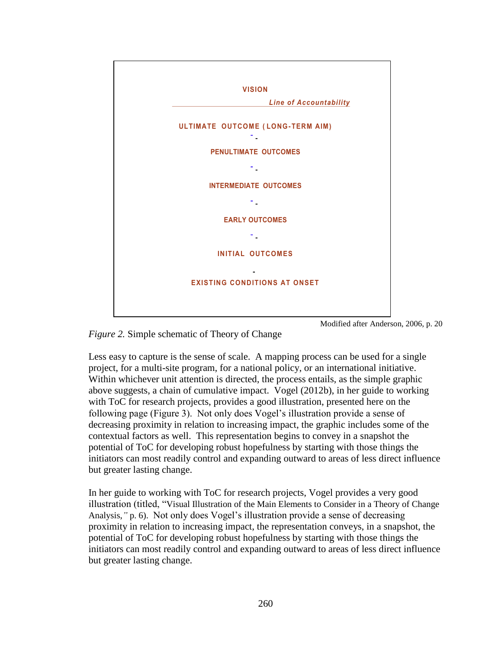

Modified after Anderson, 2006, p. 20

*Figure 2.* Simple schematic of Theory of Change

Less easy to capture is the sense of scale. A mapping process can be used for a single project, for a multi-site program, for a national policy, or an international initiative. Within whichever unit attention is directed, the process entails, as the simple graphic above suggests, a chain of cumulative impact. Vogel (2012b), in her guide to working with ToC for research projects, provides a good illustration, presented here on the following page (Figure 3). Not only does Vogel's illustration provide a sense of decreasing proximity in relation to increasing impact, the graphic includes some of the contextual factors as well. This representation begins to convey in a snapshot the potential of ToC for developing robust hopefulness by starting with those things the initiators can most readily control and expanding outward to areas of less direct influence but greater lasting change.

In her guide to working with ToC for research projects, Vogel provides a very good illustration (titled, "Visual Illustration of the Main Elements to Consider in a Theory of Change Analysis,*"* p. 6). Not only does Vogel's illustration provide a sense of decreasing proximity in relation to increasing impact, the representation conveys, in a snapshot, the potential of ToC for developing robust hopefulness by starting with those things the initiators can most readily control and expanding outward to areas of less direct influence but greater lasting change.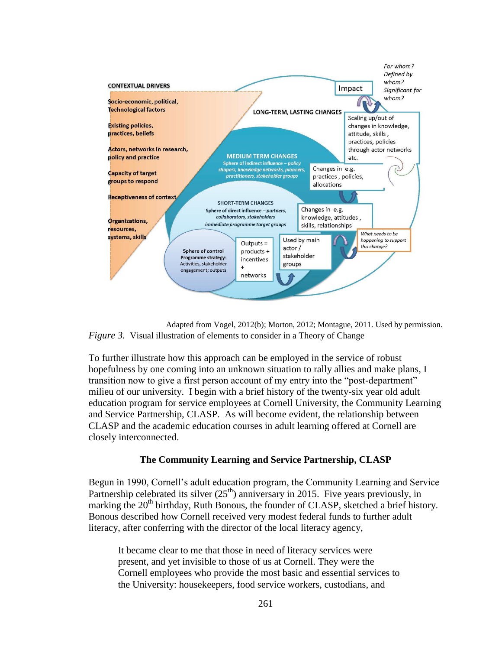



To further illustrate how this approach can be employed in the service of robust hopefulness by one coming into an unknown situation to rally allies and make plans, I transition now to give a first person account of my entry into the "post-department" milieu of our university. I begin with a brief history of the twenty-six year old adult education program for service employees at Cornell University, the Community Learning and Service Partnership, CLASP. As will become evident, the relationship between CLASP and the academic education courses in adult learning offered at Cornell are closely interconnected.

## **The Community Learning and Service Partnership, CLASP**

Begun in 1990, Cornell's adult education program, the Community Learning and Service Partnership celebrated its silver  $(25<sup>th</sup>)$  anniversary in 2015. Five years previously, in marking the  $20<sup>th</sup>$  birthday, Ruth Bonous, the founder of CLASP, sketched a brief history. Bonous described how Cornell received very modest federal funds to further adult literacy, after conferring with the director of the local literacy agency,

It became clear to me that those in need of literacy services were present, and yet invisible to those of us at Cornell. They were the Cornell employees who provide the most basic and essential services to the University: housekeepers, food service workers, custodians, and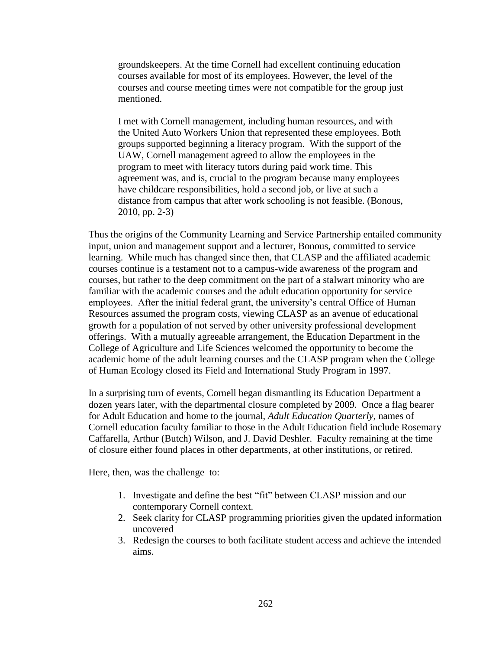groundskeepers. At the time Cornell had excellent continuing education courses available for most of its employees. However, the level of the courses and course meeting times were not compatible for the group just mentioned.

I met with Cornell management, including human resources, and with the United Auto Workers Union that represented these employees. Both groups supported beginning a literacy program. With the support of the UAW, Cornell management agreed to allow the employees in the program to meet with literacy tutors during paid work time. This agreement was, and is, crucial to the program because many employees have childcare responsibilities, hold a second job, or live at such a distance from campus that after work schooling is not feasible. (Bonous, 2010, pp. 2-3)

Thus the origins of the Community Learning and Service Partnership entailed community input, union and management support and a lecturer, Bonous, committed to service learning. While much has changed since then, that CLASP and the affiliated academic courses continue is a testament not to a campus-wide awareness of the program and courses, but rather to the deep commitment on the part of a stalwart minority who are familiar with the academic courses and the adult education opportunity for service employees. After the initial federal grant, the university's central Office of Human Resources assumed the program costs, viewing CLASP as an avenue of educational growth for a population of not served by other university professional development offerings. With a mutually agreeable arrangement, the Education Department in the College of Agriculture and Life Sciences welcomed the opportunity to become the academic home of the adult learning courses and the CLASP program when the College of Human Ecology closed its Field and International Study Program in 1997.

In a surprising turn of events, Cornell began dismantling its Education Department a dozen years later, with the departmental closure completed by 2009. Once a flag bearer for Adult Education and home to the journal, *Adult Education Quarterly*, names of Cornell education faculty familiar to those in the Adult Education field include Rosemary Caffarella, Arthur (Butch) Wilson, and J. David Deshler. Faculty remaining at the time of closure either found places in other departments, at other institutions, or retired.

Here, then, was the challenge–to:

- 1. Investigate and define the best "fit" between CLASP mission and our contemporary Cornell context.
- 2. Seek clarity for CLASP programming priorities given the updated information uncovered
- 3. Redesign the courses to both facilitate student access and achieve the intended aims.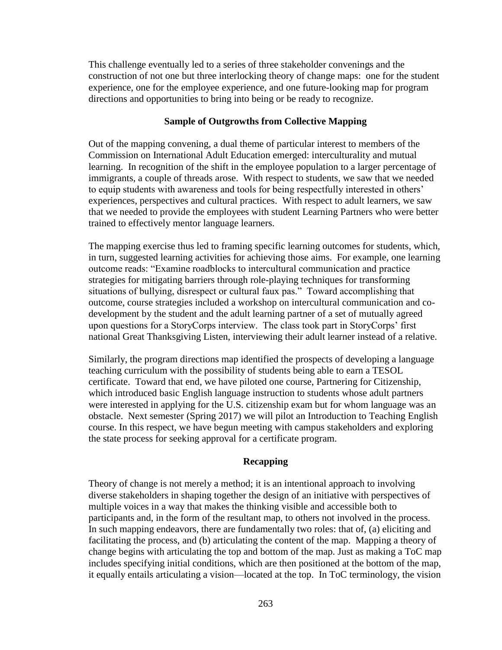This challenge eventually led to a series of three stakeholder convenings and the construction of not one but three interlocking theory of change maps: one for the student experience, one for the employee experience, and one future-looking map for program directions and opportunities to bring into being or be ready to recognize.

### **Sample of Outgrowths from Collective Mapping**

Out of the mapping convening, a dual theme of particular interest to members of the Commission on International Adult Education emerged: interculturality and mutual learning. In recognition of the shift in the employee population to a larger percentage of immigrants, a couple of threads arose. With respect to students, we saw that we needed to equip students with awareness and tools for being respectfully interested in others' experiences, perspectives and cultural practices. With respect to adult learners, we saw that we needed to provide the employees with student Learning Partners who were better trained to effectively mentor language learners.

The mapping exercise thus led to framing specific learning outcomes for students, which, in turn, suggested learning activities for achieving those aims. For example, one learning outcome reads: "Examine roadblocks to intercultural communication and practice strategies for mitigating barriers through role-playing techniques for transforming situations of bullying, disrespect or cultural faux pas." Toward accomplishing that outcome, course strategies included a workshop on intercultural communication and codevelopment by the student and the adult learning partner of a set of mutually agreed upon questions for a StoryCorps interview. The class took part in StoryCorps' first national Great Thanksgiving Listen, interviewing their adult learner instead of a relative.

Similarly, the program directions map identified the prospects of developing a language teaching curriculum with the possibility of students being able to earn a TESOL certificate. Toward that end, we have piloted one course, Partnering for Citizenship, which introduced basic English language instruction to students whose adult partners were interested in applying for the U.S. citizenship exam but for whom language was an obstacle. Next semester (Spring 2017) we will pilot an Introduction to Teaching English course. In this respect, we have begun meeting with campus stakeholders and exploring the state process for seeking approval for a certificate program.

## **Recapping**

Theory of change is not merely a method; it is an intentional approach to involving diverse stakeholders in shaping together the design of an initiative with perspectives of multiple voices in a way that makes the thinking visible and accessible both to participants and, in the form of the resultant map, to others not involved in the process. In such mapping endeavors, there are fundamentally two roles: that of, (a) eliciting and facilitating the process, and (b) articulating the content of the map. Mapping a theory of change begins with articulating the top and bottom of the map. Just as making a ToC map includes specifying initial conditions, which are then positioned at the bottom of the map, it equally entails articulating a vision—located at the top. In ToC terminology, the vision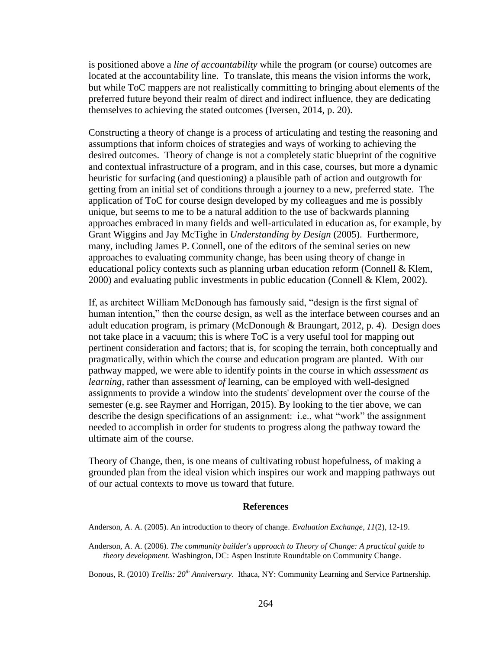is positioned above a *line of accountability* while the program (or course) outcomes are located at the accountability line. To translate, this means the vision informs the work, but while ToC mappers are not realistically committing to bringing about elements of the preferred future beyond their realm of direct and indirect influence, they are dedicating themselves to achieving the stated outcomes (Iversen, 2014, p. 20).

Constructing a theory of change is a process of articulating and testing the reasoning and assumptions that inform choices of strategies and ways of working to achieving the desired outcomes. Theory of change is not a completely static blueprint of the cognitive and contextual infrastructure of a program, and in this case, courses, but more a dynamic heuristic for surfacing (and questioning) a plausible path of action and outgrowth for getting from an initial set of conditions through a journey to a new, preferred state. The application of ToC for course design developed by my colleagues and me is possibly unique, but seems to me to be a natural addition to the use of backwards planning approaches embraced in many fields and well-articulated in education as, for example, by Grant Wiggins and Jay McTighe in *Understanding by Design* (2005). Furthermore, many, including James P. Connell, one of the editors of the seminal series on new approaches to evaluating community change, has been using theory of change in educational policy contexts such as planning urban education reform (Connell & Klem, 2000) and evaluating public investments in public education (Connell & Klem, 2002).

If, as architect William McDonough has famously said, "design is the first signal of human intention," then the course design, as well as the interface between courses and an adult education program, is primary (McDonough & Braungart, 2012, p. 4). Design does not take place in a vacuum; this is where ToC is a very useful tool for mapping out pertinent consideration and factors; that is, for scoping the terrain, both conceptually and pragmatically, within which the course and education program are planted. With our pathway mapped, we were able to identify points in the course in which *assessment as learning*, rather than assessment *of* learning, can be employed with well-designed assignments to provide a window into the students' development over the course of the semester (e.g. see Raymer and Horrigan, 2015). By looking to the tier above, we can describe the design specifications of an assignment: i.e., what "work" the assignment needed to accomplish in order for students to progress along the pathway toward the ultimate aim of the course.

Theory of Change, then, is one means of cultivating robust hopefulness, of making a grounded plan from the ideal vision which inspires our work and mapping pathways out of our actual contexts to move us toward that future.

#### **References**

Anderson, A. A. (2005). An introduction to theory of change. *Evaluation Exchange*, *11*(2), 12-19.

Anderson, A. A. (2006). *The community builder's approach to Theory of Change: A practical guide to theory development*. Washington, DC: Aspen Institute Roundtable on Community Change.

Bonous, R. (2010) *Trellis: 20th Anniversary*. Ithaca, NY: Community Learning and Service Partnership.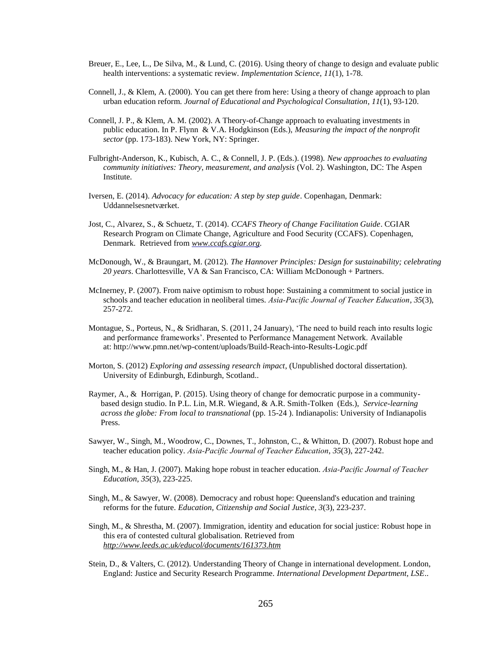- Breuer, E., Lee, L., De Silva, M., & Lund, C. (2016). Using theory of change to design and evaluate public health interventions: a systematic review. *Implementation Science*, *11*(1), 1-78.
- Connell, J., & Klem, A. (2000). You can get there from here: Using a theory of change approach to plan urban education reform. *Journal of Educational and Psychological Consultation*, *11*(1), 93-120.
- Connell, J. P., & Klem, A. M. (2002). A Theory-of-Change approach to evaluating investments in public education. In P. Flynn & V.A. Hodgkinson (Eds.), *Measuring the impact of the nonprofit sector* (pp. 173-183). New York, NY: Springer.
- Fulbright-Anderson, K., Kubisch, A. C., & Connell, J. P. (Eds.). (1998). *New approaches to evaluating community initiatives: Theory, measurement, and analysis* (Vol. 2). Washington, DC: The Aspen Institute.
- Iversen, E. (2014). *Advocacy for education: A step by step guide*. Copenhagan, Denmark: Uddannelsesnetværket.
- Jost, C., Alvarez, S., & Schuetz, T. (2014). *CCAFS Theory of Change Facilitation Guide*. CGIAR Research Program on Climate Change, Agriculture and Food Security (CCAFS). Copenhagen, Denmark. Retrieved from *[www.ccafs.cgiar.org.](http://www.ccafs.cgiar.org/)*
- McDonough, W., & Braungart, M. (2012). *The Hannover Principles: Design for sustainability; celebrating 20 years*. Charlottesville, VA & San Francisco, CA: William McDonough + Partners.
- McInerney, P. (2007). From naive optimism to robust hope: Sustaining a commitment to social justice in schools and teacher education in neoliberal times. *Asia‐Pacific Journal of Teacher Education*, *35*(3), 257-272.
- Montague, S., Porteus, N., & Sridharan, S. (2011, 24 January), 'The need to build reach into results logic and performance frameworks'. Presented to Performance Management Network. Available at: <http://www.pmn.net/wp-content/uploads/Build-Reach-into-Results-Logic.pdf>
- Morton, S. (2012) *Exploring and assessing research impact*, (Unpublished doctoral dissertation). University of Edinburgh, Edinburgh, Scotland..
- Raymer, A., & Horrigan, P. (2015). Using theory of change for democratic purpose in a communitybased design studio. In P.L. Lin, M.R. Wiegand, & A.R. Smith-Tolken (Eds.), *Service-learning across the globe: From local to transnational* (pp. 15-24 ). Indianapolis: University of Indianapolis Press.
- Sawyer, W., Singh, M., Woodrow, C., Downes, T., Johnston, C., & Whitton, D. (2007). Robust hope and teacher education policy. *Asia‐Pacific Journal of Teacher Education*, *35*(3), 227-242.
- Singh, M., & Han, J. (2007). Making hope robust in teacher education. *Asia‐Pacific Journal of Teacher Education*, *35*(3), 223-225.
- Singh, M., & Sawyer, W. (2008). Democracy and robust hope: Queensland's education and training reforms for the future. *Education, Citizenship and Social Justice*, *3*(3), 223-237.
- Singh, M., & Shrestha, M. (2007). Immigration, identity and education for social justice: Robust hope in this era of contested cultural globalisation. Retrieved from *<http://www.leeds.ac.uk/educol/documents/161373.htm>*
- Stein, D., & Valters, C. (2012). Understanding Theory of Change in international development. London, England: Justice and Security Research Programme. *International Development Department, LSE*..